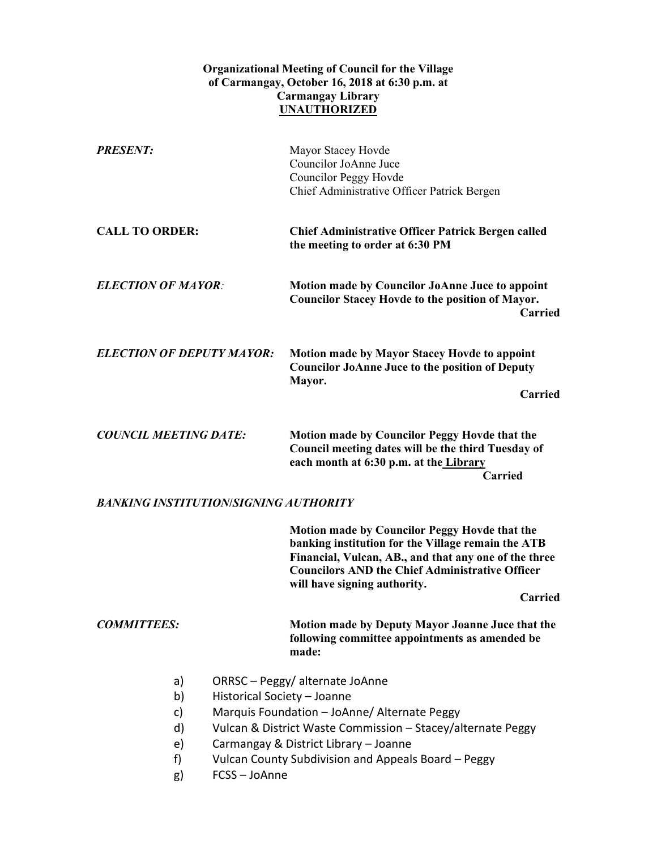## **Organizational Meeting of Council for the Village of Carmangay, October 16, 2018 at 6:30 p.m. at Carmangay Library UNAUTHORIZED**

| <b>PRESENT:</b>                              |                                                                                                                                                                                                                                                                                             | Mayor Stacey Hovde<br>Councilor JoAnne Juce<br><b>Councilor Peggy Hovde</b><br>Chief Administrative Officer Patrick Bergen                                                                                                                                                      |
|----------------------------------------------|---------------------------------------------------------------------------------------------------------------------------------------------------------------------------------------------------------------------------------------------------------------------------------------------|---------------------------------------------------------------------------------------------------------------------------------------------------------------------------------------------------------------------------------------------------------------------------------|
| <b>CALL TO ORDER:</b>                        |                                                                                                                                                                                                                                                                                             | <b>Chief Administrative Officer Patrick Bergen called</b><br>the meeting to order at 6:30 PM                                                                                                                                                                                    |
| <b>ELECTION OF MAYOR:</b>                    |                                                                                                                                                                                                                                                                                             | <b>Motion made by Councilor JoAnne Juce to appoint</b><br><b>Councilor Stacey Hovde to the position of Mayor.</b><br>Carried                                                                                                                                                    |
| <b>ELECTION OF DEPUTY MAYOR:</b>             |                                                                                                                                                                                                                                                                                             | <b>Motion made by Mayor Stacey Hovde to appoint</b><br><b>Councilor JoAnne Juce to the position of Deputy</b><br>Mayor.<br><b>Carried</b>                                                                                                                                       |
| <b>COUNCIL MEETING DATE:</b>                 |                                                                                                                                                                                                                                                                                             | <b>Motion made by Councilor Peggy Hovde that the</b><br>Council meeting dates will be the third Tuesday of<br>each month at 6:30 p.m. at the Library<br><b>Carried</b>                                                                                                          |
| <b>BANKING INSTITUTION/SIGNING AUTHORITY</b> |                                                                                                                                                                                                                                                                                             |                                                                                                                                                                                                                                                                                 |
|                                              |                                                                                                                                                                                                                                                                                             | <b>Motion made by Councilor Peggy Hovde that the</b><br>banking institution for the Village remain the ATB<br>Financial, Vulcan, AB., and that any one of the three<br><b>Councilors AND the Chief Administrative Officer</b><br>will have signing authority.<br><b>Carried</b> |
| <b>COMMITTEES:</b>                           |                                                                                                                                                                                                                                                                                             | Motion made by Deputy Mayor Joanne Juce that the<br>following committee appointments as amended be<br>made:                                                                                                                                                                     |
| a)<br>b)<br>c)<br>d)<br>e)<br>f)<br>g)       | ORRSC - Peggy/alternate JoAnne<br>Historical Society - Joanne<br>Marquis Foundation - JoAnne/ Alternate Peggy<br>Vulcan & District Waste Commission - Stacey/alternate Peggy<br>Carmangay & District Library - Joanne<br>Vulcan County Subdivision and Appeals Board - Peggy<br>FCSS-JoAnne |                                                                                                                                                                                                                                                                                 |